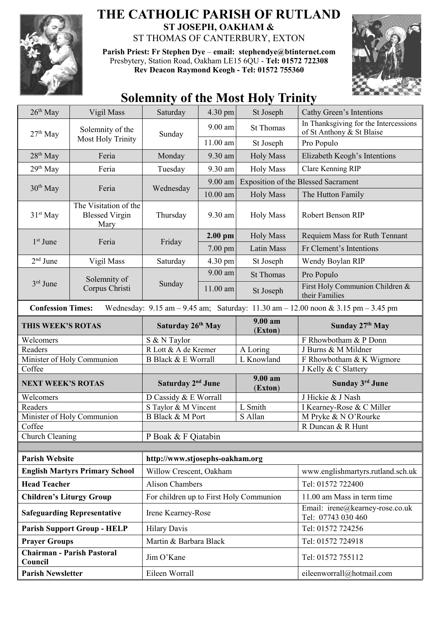

## **THE CATHOLIC PARISH OF RUTLAND ST JOSEPH, OAKHAM &**  ST THOMAS OF CANTERBURY, EXTON

**Parish Priest: Fr Stephen Dye** – **[email: stephendye@btinternet.com](mailto:email:%20%20stephendye@btinternet.com)** Presbytery, Station Road, Oakham LE15 6QU - **Tel: 01572 722308 Rev Deacon Raymond Keogh - Tel: 01572 755360**



## **Solemnity of the Most Holy Trinity**

| $26th$ May                                                                                                                                                          | Vigil Mass                                             | Saturday                                | 4.30 pm   | St Joseph          | Cathy Green's Intentions                                           |  |
|---------------------------------------------------------------------------------------------------------------------------------------------------------------------|--------------------------------------------------------|-----------------------------------------|-----------|--------------------|--------------------------------------------------------------------|--|
| $27th$ May                                                                                                                                                          | Solemnity of the<br><b>Most Holy Trinity</b>           | Sunday                                  | 9.00 am   | <b>St Thomas</b>   | In Thanksgiving for the Intercessions<br>of St Anthony & St Blaise |  |
|                                                                                                                                                                     |                                                        |                                         | 11.00 am  | St Joseph          | Pro Populo                                                         |  |
| $28th$ May                                                                                                                                                          | Feria                                                  | Monday                                  | 9.30 am   | <b>Holy Mass</b>   | Elizabeth Keogh's Intentions                                       |  |
| 29 <sup>th</sup> May                                                                                                                                                | Feria                                                  | Tuesday                                 | 9.30 am   | <b>Holy Mass</b>   | Clare Kenning RIP                                                  |  |
| $30th$ May                                                                                                                                                          | Feria                                                  | Wednesday                               | 9.00 am   |                    | <b>Exposition of the Blessed Sacrament</b>                         |  |
|                                                                                                                                                                     |                                                        |                                         | 10.00 am  | <b>Holy Mass</b>   | The Hutton Family                                                  |  |
| 31 <sup>st</sup> May                                                                                                                                                | The Visitation of the<br><b>Blessed Virgin</b><br>Mary | Thursday                                | 9.30 am   | <b>Holy Mass</b>   | <b>Robert Benson RIP</b>                                           |  |
| $1st$ June                                                                                                                                                          | Feria                                                  | Friday                                  | $2.00$ pm | <b>Holy Mass</b>   | Requiem Mass for Ruth Tennant                                      |  |
|                                                                                                                                                                     |                                                        |                                         | $7.00$ pm | Latin Mass         | Fr Clement's Intentions                                            |  |
| $2nd$ June                                                                                                                                                          | Vigil Mass                                             | Saturday                                | 4.30 pm   | St Joseph          | Wendy Boylan RIP                                                   |  |
| $3rd$ June                                                                                                                                                          | Solemnity of<br>Corpus Christi                         | Sunday                                  | 9.00 am   | <b>St Thomas</b>   | Pro Populo                                                         |  |
|                                                                                                                                                                     |                                                        |                                         | 11.00 am  | St Joseph          | First Holy Communion Children &<br>their Families                  |  |
| Wednesday: $9.15 \text{ am} - 9.45 \text{ am}$ ; Saturday: $11.30 \text{ am} - 12.00 \text{ noon} \& 3.15 \text{ pm} - 3.45 \text{ pm}$<br><b>Confession Times:</b> |                                                        |                                         |           |                    |                                                                    |  |
| THIS WEEK'S ROTAS                                                                                                                                                   |                                                        | Saturday 26 <sup>th</sup> May           |           | 9.00 am<br>(Exton) | Sunday $27th$ May                                                  |  |
| Welcomers                                                                                                                                                           |                                                        | S & N Taylor                            |           |                    | F Rhowbotham & P Donn                                              |  |
| Readers                                                                                                                                                             |                                                        | R Lott & A de Kremer                    |           | A Loring           | J Burns & M Mildner                                                |  |
| Minister of Holy Communion                                                                                                                                          |                                                        | <b>B Black &amp; E Worrall</b>          |           | L Knowland         | F Rhowbotham & K Wigmore                                           |  |
| Coffee                                                                                                                                                              |                                                        |                                         |           |                    | J Kelly & C Slattery                                               |  |
| <b>NEXT WEEK'S ROTAS</b>                                                                                                                                            |                                                        | Saturday 2 <sup>nd</sup> June           |           | 9.00 am<br>(Exton) | Sunday 3rd June                                                    |  |
| Welcomers                                                                                                                                                           |                                                        | D Cassidy & E Worrall                   |           |                    | J Hickie & J Nash                                                  |  |
| Readers                                                                                                                                                             |                                                        | S Taylor & M Vincent                    |           | L Smith            | I Kearney-Rose & C Miller                                          |  |
| Minister of Holy Communion                                                                                                                                          |                                                        | <b>B</b> Black & M Port                 |           | S Allan            | M Pryke & N O'Rourke                                               |  |
| Coffee                                                                                                                                                              |                                                        |                                         |           |                    | R Duncan & R Hunt                                                  |  |
| Church Cleaning                                                                                                                                                     |                                                        | P Boak & F Qiatabin                     |           |                    |                                                                    |  |
|                                                                                                                                                                     |                                                        |                                         |           |                    |                                                                    |  |
| <b>Parish Website</b>                                                                                                                                               |                                                        | http://www.stjosephs-oakham.org         |           |                    |                                                                    |  |
| <b>English Martyrs Primary School</b>                                                                                                                               |                                                        | Willow Crescent, Oakham                 |           |                    | www.englishmartyrs.rutland.sch.uk                                  |  |
| <b>Head Teacher</b>                                                                                                                                                 |                                                        | <b>Alison Chambers</b>                  |           |                    | Tel: 01572 722400                                                  |  |
| <b>Children's Liturgy Group</b>                                                                                                                                     |                                                        | For children up to First Holy Communion |           |                    | 11.00 am Mass in term time                                         |  |
| <b>Safeguarding Representative</b>                                                                                                                                  |                                                        | Irene Kearney-Rose                      |           |                    | Email: irene@kearney-rose.co.uk<br>Tel: 07743 030 460              |  |
| <b>Parish Support Group - HELP</b>                                                                                                                                  |                                                        | <b>Hilary Davis</b>                     |           |                    | Tel: 01572 724256                                                  |  |
| <b>Prayer Groups</b>                                                                                                                                                |                                                        | Martin & Barbara Black                  |           |                    | Tel: 01572 724918                                                  |  |
| <b>Chairman - Parish Pastoral</b><br>Council                                                                                                                        |                                                        | Jim O'Kane                              |           |                    | Tel: 01572 755112                                                  |  |
| <b>Parish Newsletter</b>                                                                                                                                            |                                                        | Eileen Worrall                          |           |                    | eileenworrall@hotmail.com                                          |  |